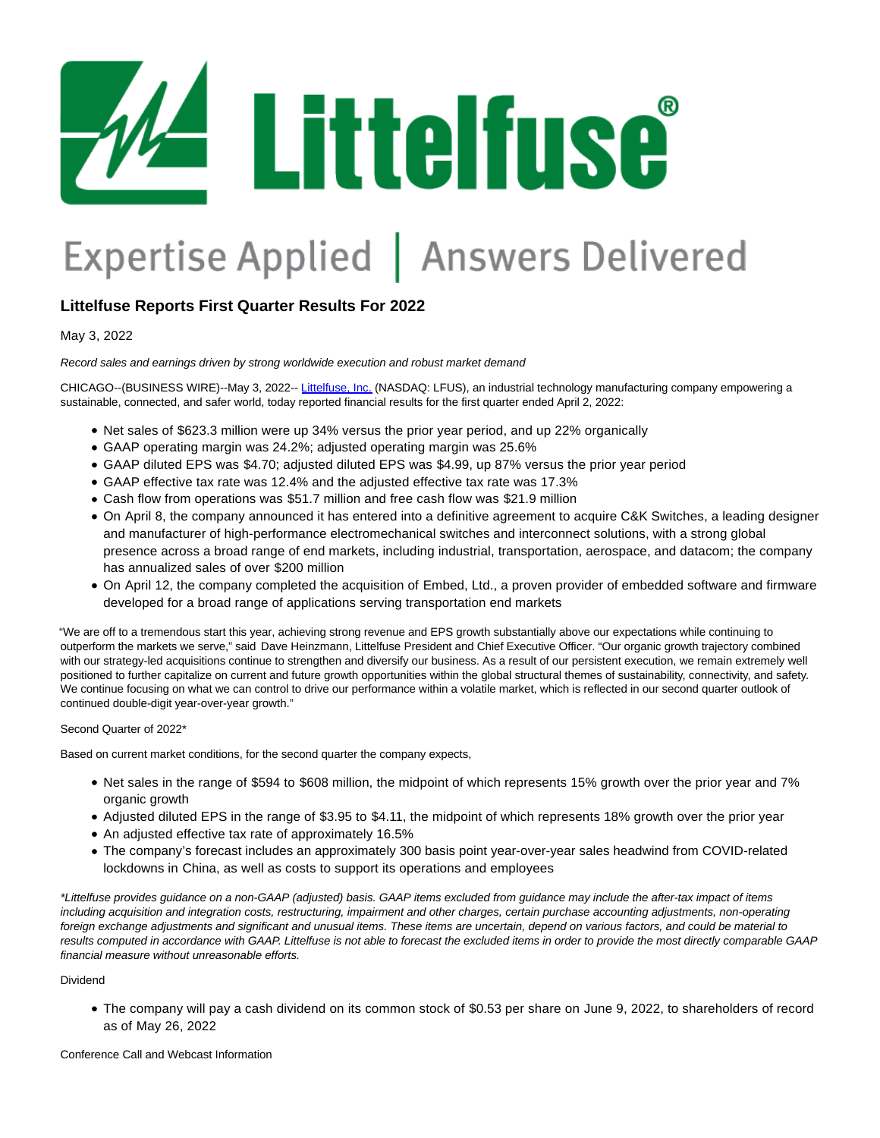

# Expertise Applied | Answers Delivered

# **Littelfuse Reports First Quarter Results For 2022**

May 3, 2022

Record sales and earnings driven by strong worldwide execution and robust market demand

CHICAGO--(BUSINESS WIRE)--May 3, 2022-- [Littelfuse, Inc. \(](https://cts.businesswire.com/ct/CT?id=smartlink&url=https%3A%2F%2Fwww.littelfuse.com%2F&esheet=52705298&newsitemid=20220503005528&lan=en-US&anchor=Littelfuse%2C+Inc.&index=1&md5=d2e7d177ad21c47d8619f7caffab8fe5)NASDAQ: LFUS), an industrial technology manufacturing company empowering a sustainable, connected, and safer world, today reported financial results for the first quarter ended April 2, 2022:

- Net sales of \$623.3 million were up 34% versus the prior year period, and up 22% organically
- GAAP operating margin was 24.2%; adjusted operating margin was 25.6%
- GAAP diluted EPS was \$4.70; adjusted diluted EPS was \$4.99, up 87% versus the prior year period
- GAAP effective tax rate was 12.4% and the adjusted effective tax rate was 17.3%
- Cash flow from operations was \$51.7 million and free cash flow was \$21.9 million
- On April 8, the company announced it has entered into a definitive agreement to acquire C&K Switches, a leading designer and manufacturer of high-performance electromechanical switches and interconnect solutions, with a strong global presence across a broad range of end markets, including industrial, transportation, aerospace, and datacom; the company has annualized sales of over \$200 million
- On April 12, the company completed the acquisition of Embed, Ltd., a proven provider of embedded software and firmware developed for a broad range of applications serving transportation end markets

"We are off to a tremendous start this year, achieving strong revenue and EPS growth substantially above our expectations while continuing to outperform the markets we serve," said Dave Heinzmann, Littelfuse President and Chief Executive Officer. "Our organic growth trajectory combined with our strategy-led acquisitions continue to strengthen and diversify our business. As a result of our persistent execution, we remain extremely well positioned to further capitalize on current and future growth opportunities within the global structural themes of sustainability, connectivity, and safety. We continue focusing on what we can control to drive our performance within a volatile market, which is reflected in our second quarter outlook of continued double-digit year-over-year growth."

## Second Quarter of 2022\*

Based on current market conditions, for the second quarter the company expects,

- Net sales in the range of \$594 to \$608 million, the midpoint of which represents 15% growth over the prior year and 7% organic growth
- Adjusted diluted EPS in the range of \$3.95 to \$4.11, the midpoint of which represents 18% growth over the prior year
- An adjusted effective tax rate of approximately 16.5%
- The company's forecast includes an approximately 300 basis point year-over-year sales headwind from COVID-related lockdowns in China, as well as costs to support its operations and employees

\*Littelfuse provides guidance on a non-GAAP (adjusted) basis. GAAP items excluded from guidance may include the after-tax impact of items including acquisition and integration costs, restructuring, impairment and other charges, certain purchase accounting adjustments, non-operating foreign exchange adjustments and significant and unusual items. These items are uncertain, depend on various factors, and could be material to results computed in accordance with GAAP. Littelfuse is not able to forecast the excluded items in order to provide the most directly comparable GAAP financial measure without unreasonable efforts.

#### Dividend

The company will pay a cash dividend on its common stock of \$0.53 per share on June 9, 2022, to shareholders of record as of May 26, 2022

Conference Call and Webcast Information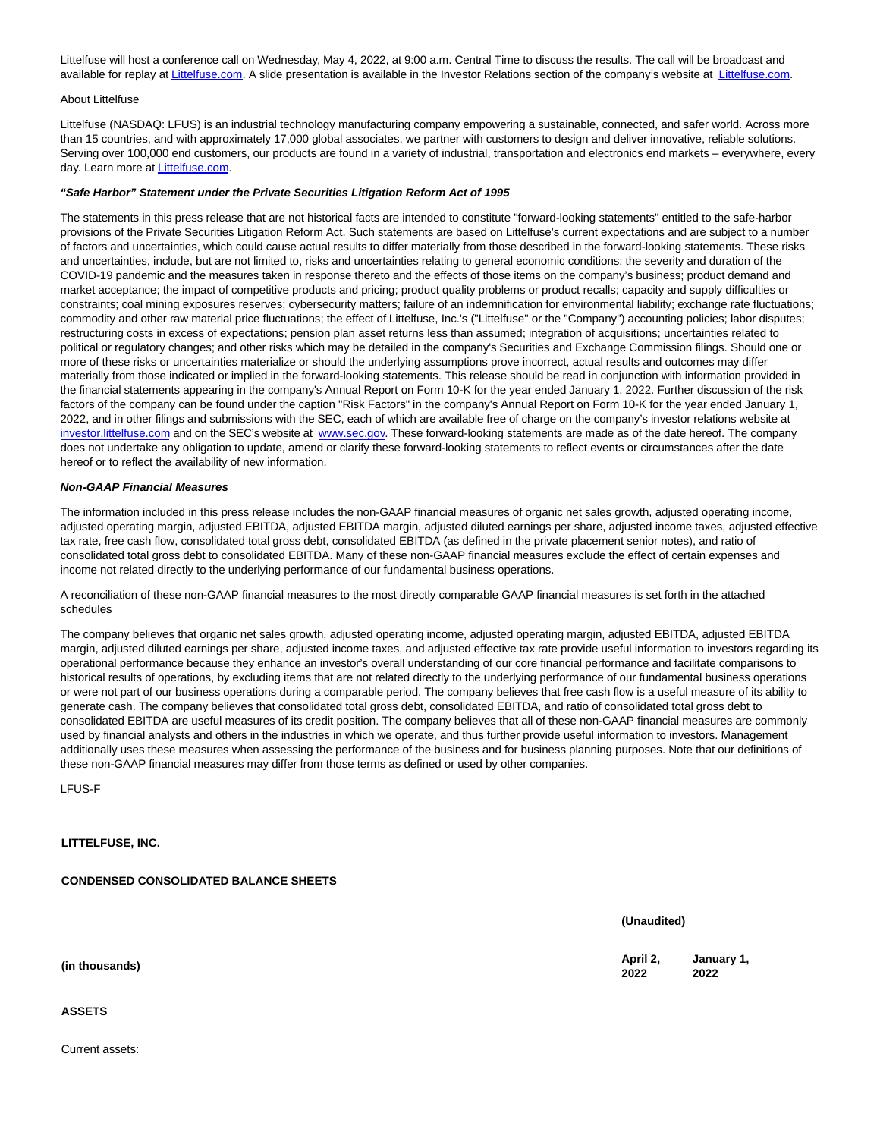Littelfuse will host a conference call on Wednesday, May 4, 2022, at 9:00 a.m. Central Time to discuss the results. The call will be broadcast and available for replay a[t Littelfuse.com.](https://cts.businesswire.com/ct/CT?id=smartlink&url=https%3A%2F%2Fwww.littelfuse.com%2F&esheet=52705298&newsitemid=20220503005528&lan=en-US&anchor=Littelfuse.com&index=2&md5=b9368ba11f89e1413d6ea0cb2416c85b) A slide presentation is available in the Investor Relations section of the company's website at [Littelfuse.com.](https://cts.businesswire.com/ct/CT?id=smartlink&url=https%3A%2F%2Fwww.littelfuse.com%2F&esheet=52705298&newsitemid=20220503005528&lan=en-US&anchor=Littelfuse.com&index=3&md5=c1ed16ca23c512f7c384396d8ff12254)

#### About Littelfuse

Littelfuse (NASDAQ: LFUS) is an industrial technology manufacturing company empowering a sustainable, connected, and safer world. Across more than 15 countries, and with approximately 17,000 global associates, we partner with customers to design and deliver innovative, reliable solutions. Serving over 100,000 end customers, our products are found in a variety of industrial, transportation and electronics end markets – everywhere, every day. Learn more at [Littelfuse.com.](https://cts.businesswire.com/ct/CT?id=smartlink&url=https%3A%2F%2Fwww.littelfuse.com%2F&esheet=52705298&newsitemid=20220503005528&lan=en-US&anchor=Littelfuse.com&index=4&md5=47b942d95b3e8a01b948d0b4c2ec8477)

#### **"Safe Harbor" Statement under the Private Securities Litigation Reform Act of 1995**

The statements in this press release that are not historical facts are intended to constitute "forward-looking statements" entitled to the safe-harbor provisions of the Private Securities Litigation Reform Act. Such statements are based on Littelfuse's current expectations and are subject to a number of factors and uncertainties, which could cause actual results to differ materially from those described in the forward-looking statements. These risks and uncertainties, include, but are not limited to, risks and uncertainties relating to general economic conditions; the severity and duration of the COVID-19 pandemic and the measures taken in response thereto and the effects of those items on the company's business; product demand and market acceptance; the impact of competitive products and pricing; product quality problems or product recalls; capacity and supply difficulties or constraints; coal mining exposures reserves; cybersecurity matters; failure of an indemnification for environmental liability; exchange rate fluctuations; commodity and other raw material price fluctuations; the effect of Littelfuse, Inc.'s ("Littelfuse" or the "Company") accounting policies; labor disputes; restructuring costs in excess of expectations; pension plan asset returns less than assumed; integration of acquisitions; uncertainties related to political or regulatory changes; and other risks which may be detailed in the company's Securities and Exchange Commission filings. Should one or more of these risks or uncertainties materialize or should the underlying assumptions prove incorrect, actual results and outcomes may differ materially from those indicated or implied in the forward-looking statements. This release should be read in conjunction with information provided in the financial statements appearing in the company's Annual Report on Form 10-K for the year ended January 1, 2022. Further discussion of the risk factors of the company can be found under the caption "Risk Factors" in the company's Annual Report on Form 10-K for the year ended January 1, 2022, and in other filings and submissions with the SEC, each of which are available free of charge on the company's investor relations website at [investor.littelfuse.com a](https://cts.businesswire.com/ct/CT?id=smartlink&url=http%3A%2F%2Finvestor.littelfuse.com&esheet=52705298&newsitemid=20220503005528&lan=en-US&anchor=investor.littelfuse.com&index=5&md5=6c04d11e5c1e058cbcc2c8d51c8224d9)nd on the SEC's website at [www.sec.gov.](https://cts.businesswire.com/ct/CT?id=smartlink&url=http%3A%2F%2Fwww.sec.gov&esheet=52705298&newsitemid=20220503005528&lan=en-US&anchor=www.sec.gov&index=6&md5=07bb9bdf0b39261e9f0dcbde034c7f9e) These forward-looking statements are made as of the date hereof. The company does not undertake any obligation to update, amend or clarify these forward-looking statements to reflect events or circumstances after the date hereof or to reflect the availability of new information.

#### **Non-GAAP Financial Measures**

The information included in this press release includes the non-GAAP financial measures of organic net sales growth, adjusted operating income, adjusted operating margin, adjusted EBITDA, adjusted EBITDA margin, adjusted diluted earnings per share, adjusted income taxes, adjusted effective tax rate, free cash flow, consolidated total gross debt, consolidated EBITDA (as defined in the private placement senior notes), and ratio of consolidated total gross debt to consolidated EBITDA. Many of these non-GAAP financial measures exclude the effect of certain expenses and income not related directly to the underlying performance of our fundamental business operations.

A reconciliation of these non-GAAP financial measures to the most directly comparable GAAP financial measures is set forth in the attached schedules

The company believes that organic net sales growth, adjusted operating income, adjusted operating margin, adjusted EBITDA, adjusted EBITDA margin, adjusted diluted earnings per share, adjusted income taxes, and adjusted effective tax rate provide useful information to investors regarding its operational performance because they enhance an investor's overall understanding of our core financial performance and facilitate comparisons to historical results of operations, by excluding items that are not related directly to the underlying performance of our fundamental business operations or were not part of our business operations during a comparable period. The company believes that free cash flow is a useful measure of its ability to generate cash. The company believes that consolidated total gross debt, consolidated EBITDA, and ratio of consolidated total gross debt to consolidated EBITDA are useful measures of its credit position. The company believes that all of these non-GAAP financial measures are commonly used by financial analysts and others in the industries in which we operate, and thus further provide useful information to investors. Management additionally uses these measures when assessing the performance of the business and for business planning purposes. Note that our definitions of these non-GAAP financial measures may differ from those terms as defined or used by other companies.

LFUS-F

**LITTELFUSE, INC.**

**CONDENSED CONSOLIDATED BALANCE SHEETS**

**(Unaudited)**

**2022 January 1, 2022**

**(in thousands) April 2,**

#### **ASSETS**

Current assets: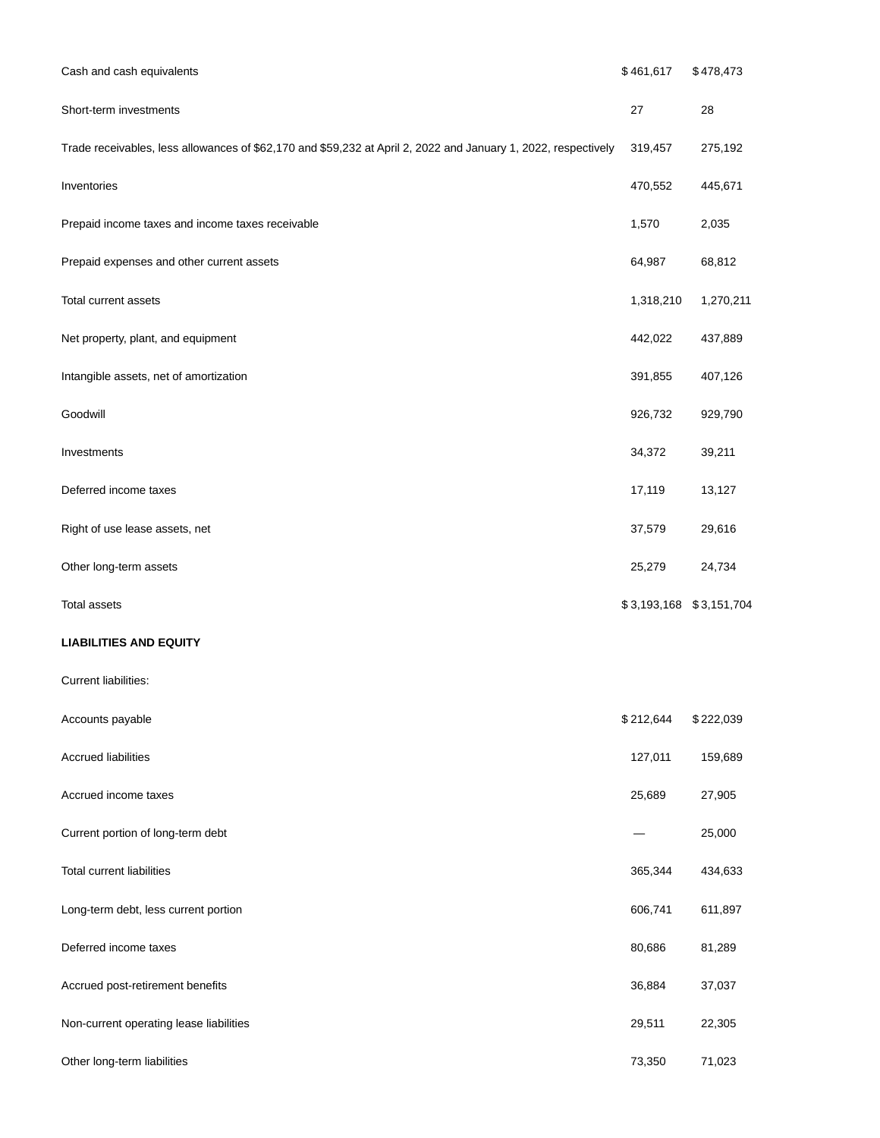| Cash and cash equivalents                                                                                      | \$461,617               | \$478,473 |
|----------------------------------------------------------------------------------------------------------------|-------------------------|-----------|
| Short-term investments                                                                                         | 27                      | 28        |
| Trade receivables, less allowances of \$62,170 and \$59,232 at April 2, 2022 and January 1, 2022, respectively | 319,457                 | 275,192   |
| Inventories                                                                                                    | 470,552                 | 445,671   |
| Prepaid income taxes and income taxes receivable                                                               | 1,570                   | 2,035     |
| Prepaid expenses and other current assets                                                                      | 64,987                  | 68,812    |
| Total current assets                                                                                           | 1,318,210               | 1,270,211 |
| Net property, plant, and equipment                                                                             | 442,022                 | 437,889   |
| Intangible assets, net of amortization                                                                         | 391,855                 | 407,126   |
| Goodwill                                                                                                       | 926,732                 | 929,790   |
| Investments                                                                                                    | 34,372                  | 39,211    |
| Deferred income taxes                                                                                          | 17,119                  | 13,127    |
| Right of use lease assets, net                                                                                 | 37,579                  | 29,616    |
| Other long-term assets                                                                                         | 25,279                  | 24,734    |
| <b>Total assets</b>                                                                                            | \$3,193,168 \$3,151,704 |           |
| <b>LIABILITIES AND EQUITY</b>                                                                                  |                         |           |
| Current liabilities:                                                                                           |                         |           |
| Accounts payable                                                                                               | \$212,644               | \$222,039 |
| <b>Accrued liabilities</b>                                                                                     | 127,011                 | 159,689   |
| Accrued income taxes                                                                                           | 25,689                  | 27,905    |
| Current portion of long-term debt                                                                              |                         | 25,000    |
| <b>Total current liabilities</b>                                                                               | 365,344                 | 434,633   |
| Long-term debt, less current portion                                                                           | 606,741                 | 611,897   |
| Deferred income taxes                                                                                          | 80,686                  | 81,289    |
| Accrued post-retirement benefits                                                                               | 36,884                  | 37,037    |
| Non-current operating lease liabilities                                                                        | 29,511                  | 22,305    |
| Other long-term liabilities                                                                                    | 73,350                  | 71,023    |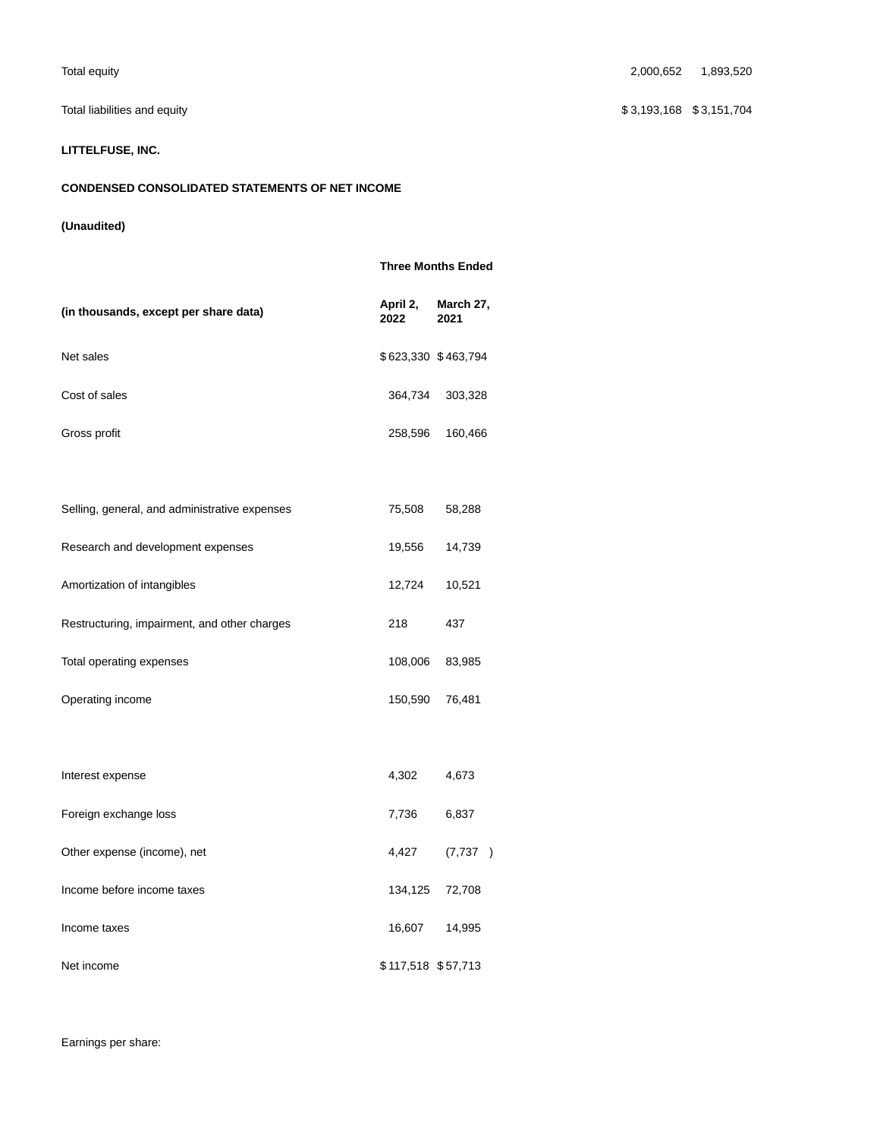# **LITTELFUSE, INC.**

# **CONDENSED CONSOLIDATED STATEMENTS OF NET INCOME**

# **(Unaudited)**

|                                               |                     | <b>Three Months Ended</b> |
|-----------------------------------------------|---------------------|---------------------------|
| (in thousands, except per share data)         | April 2,<br>2022    | March 27,<br>2021         |
| Net sales                                     | \$623,330 \$463,794 |                           |
| Cost of sales                                 | 364,734             | 303,328                   |
| Gross profit                                  | 258,596             | 160,466                   |
|                                               |                     |                           |
| Selling, general, and administrative expenses | 75,508              | 58,288                    |
| Research and development expenses             | 19,556              | 14,739                    |
| Amortization of intangibles                   | 12,724              | 10,521                    |
| Restructuring, impairment, and other charges  | 218                 | 437                       |
| Total operating expenses                      | 108,006             | 83,985                    |
| Operating income                              | 150,590             | 76,481                    |
|                                               |                     |                           |
| Interest expense                              | 4,302               | 4,673                     |
| Foreign exchange loss                         | 7,736               | 6,837                     |
| Other expense (income), net                   | 4,427               | (7, 737)                  |
| Income before income taxes                    | 134,125             | 72,708                    |
| Income taxes                                  | 16,607              | 14,995                    |
| Net income                                    | \$117,518 \$57,713  |                           |

Total equity 2,000,652 1,893,520

Total liabilities and equity **\$ 3,151,704** \$ 3,151,704

Earnings per share: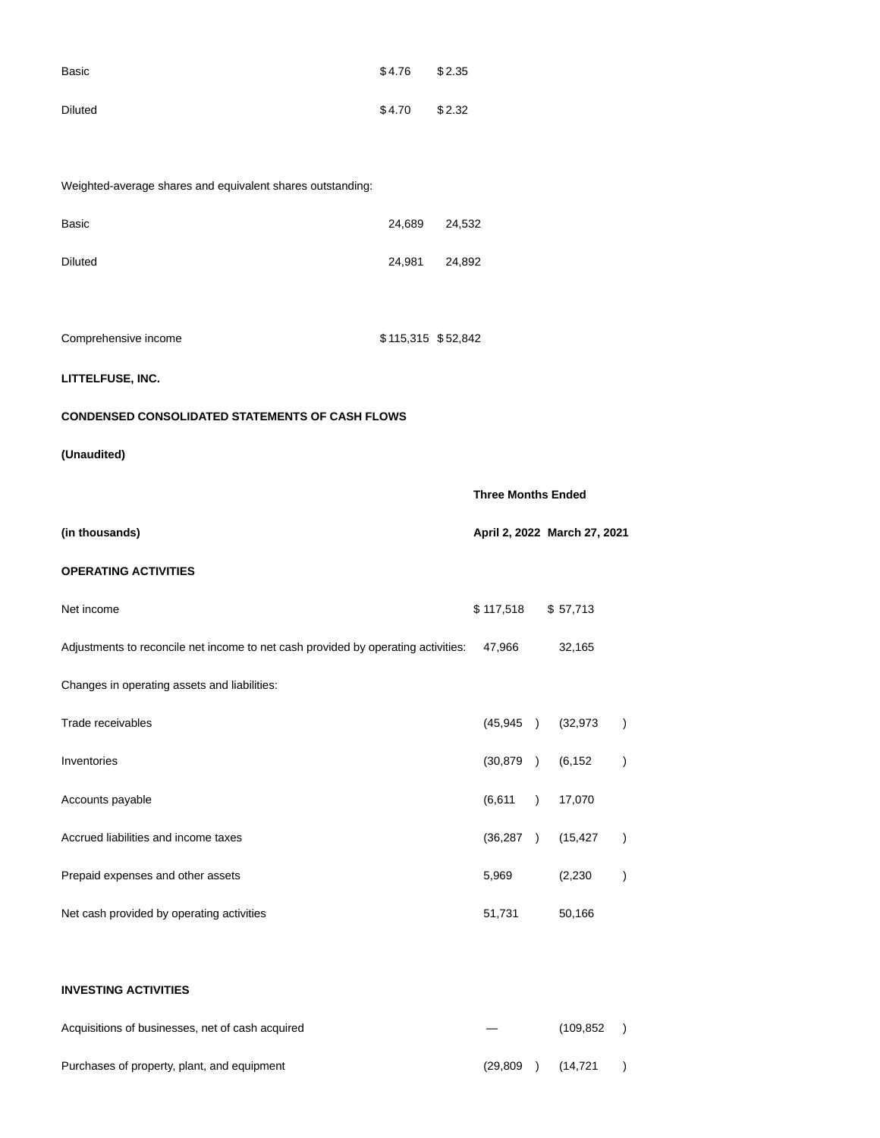| Basic   | \$4.76 | \$2.35 |
|---------|--------|--------|
| Diluted | \$4.70 | \$2.32 |

Weighted-average shares and equivalent shares outstanding:

| Basic                                                                             | 24,689             | 24,532 |                           |                              |                  |
|-----------------------------------------------------------------------------------|--------------------|--------|---------------------------|------------------------------|------------------|
| <b>Diluted</b>                                                                    | 24,981             | 24,892 |                           |                              |                  |
|                                                                                   |                    |        |                           |                              |                  |
| Comprehensive income                                                              | \$115,315 \$52,842 |        |                           |                              |                  |
| LITTELFUSE, INC.                                                                  |                    |        |                           |                              |                  |
| <b>CONDENSED CONSOLIDATED STATEMENTS OF CASH FLOWS</b>                            |                    |        |                           |                              |                  |
| (Unaudited)                                                                       |                    |        |                           |                              |                  |
|                                                                                   |                    |        | <b>Three Months Ended</b> |                              |                  |
| (in thousands)                                                                    |                    |        |                           | April 2, 2022 March 27, 2021 |                  |
| <b>OPERATING ACTIVITIES</b>                                                       |                    |        |                           |                              |                  |
| Net income                                                                        |                    |        | \$117,518                 | \$57,713                     |                  |
| Adjustments to reconcile net income to net cash provided by operating activities: |                    |        | 47,966                    | 32,165                       |                  |
| Changes in operating assets and liabilities:                                      |                    |        |                           |                              |                  |
| Trade receivables                                                                 |                    |        | (45, 945)                 | (32, 973)                    | $\left( \right)$ |
| Inventories                                                                       |                    |        | (30, 879)                 | (6, 152)                     | $\big)$          |
| Accounts payable                                                                  |                    |        | (6,611)                   | 17,070                       |                  |
| Accrued liabilities and income taxes                                              |                    |        | (36, 287)                 | (15, 427)                    | $\big)$          |
| Prepaid expenses and other assets                                                 |                    |        | 5,969                     | (2, 230)                     |                  |
| Net cash provided by operating activities                                         |                    |        | 51,731                    | 50,166                       |                  |
|                                                                                   |                    |        |                           |                              |                  |
| <b>INVESTING ACTIVITIES</b>                                                       |                    |        |                           |                              |                  |

# Acquisitions of businesses, net of cash acquired and the control of the cash acquired and the control of the control of the control of the control of the control of the control of the control of the control of the control Purchases of property, plant, and equipment (29,809 ) (14,721 )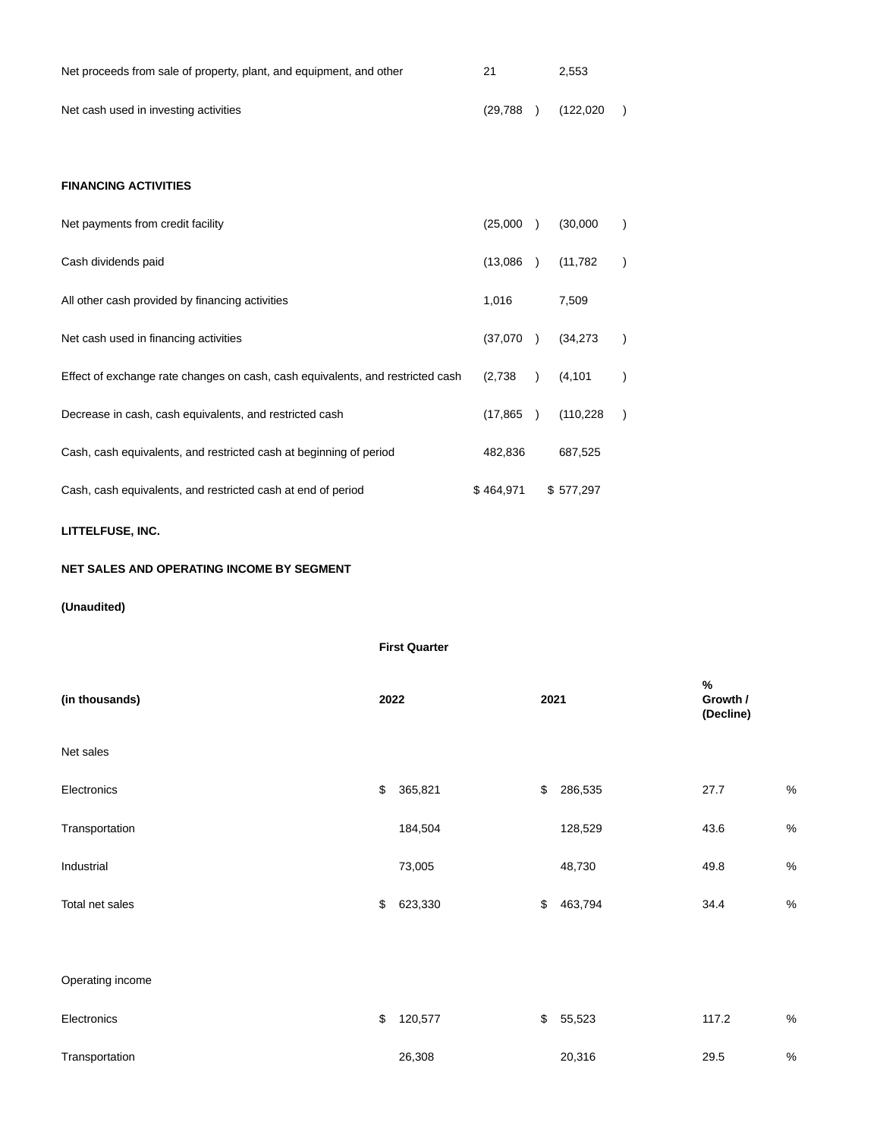| Net proceeds from sale of property, plant, and equipment, and other | 21       | 2.553     |  |
|---------------------------------------------------------------------|----------|-----------|--|
| Net cash used in investing activities                               | (29,788) | (122,020) |  |

# **FINANCING ACTIVITIES**

| Net payments from credit facility                                              | (25,000)  | (30,000)   |  |
|--------------------------------------------------------------------------------|-----------|------------|--|
| Cash dividends paid                                                            | (13,086)  | (11,782)   |  |
| All other cash provided by financing activities                                | 1,016     | 7,509      |  |
| Net cash used in financing activities                                          | (37,070)  | (34, 273)  |  |
| Effect of exchange rate changes on cash, cash equivalents, and restricted cash | (2,738)   | (4, 101)   |  |
| Decrease in cash, cash equivalents, and restricted cash                        | (17, 865) | (110, 228) |  |
| Cash, cash equivalents, and restricted cash at beginning of period             | 482,836   | 687,525    |  |
| Cash, cash equivalents, and restricted cash at end of period                   | \$464.971 | \$577.297  |  |

**LITTELFUSE, INC.**

# **NET SALES AND OPERATING INCOME BY SEGMENT**

# **(Unaudited)**

|                  |      | <b>First Quarter</b> |      |         |                            |      |
|------------------|------|----------------------|------|---------|----------------------------|------|
| (in thousands)   | 2022 |                      | 2021 |         | %<br>Growth /<br>(Decline) |      |
| Net sales        |      |                      |      |         |                            |      |
| Electronics      | $\,$ | 365,821              | \$   | 286,535 | 27.7                       | $\%$ |
| Transportation   |      | 184,504              |      | 128,529 | 43.6                       | $\%$ |
| Industrial       |      | 73,005               |      | 48,730  | 49.8                       | $\%$ |
| Total net sales  | \$   | 623,330              | \$   | 463,794 | 34.4                       | $\%$ |
|                  |      |                      |      |         |                            |      |
| Operating income |      |                      |      |         |                            |      |
| Electronics      | \$   | 120,577              | \$   | 55,523  | 117.2                      | $\%$ |
| Transportation   |      | 26,308               |      | 20,316  | 29.5                       | $\%$ |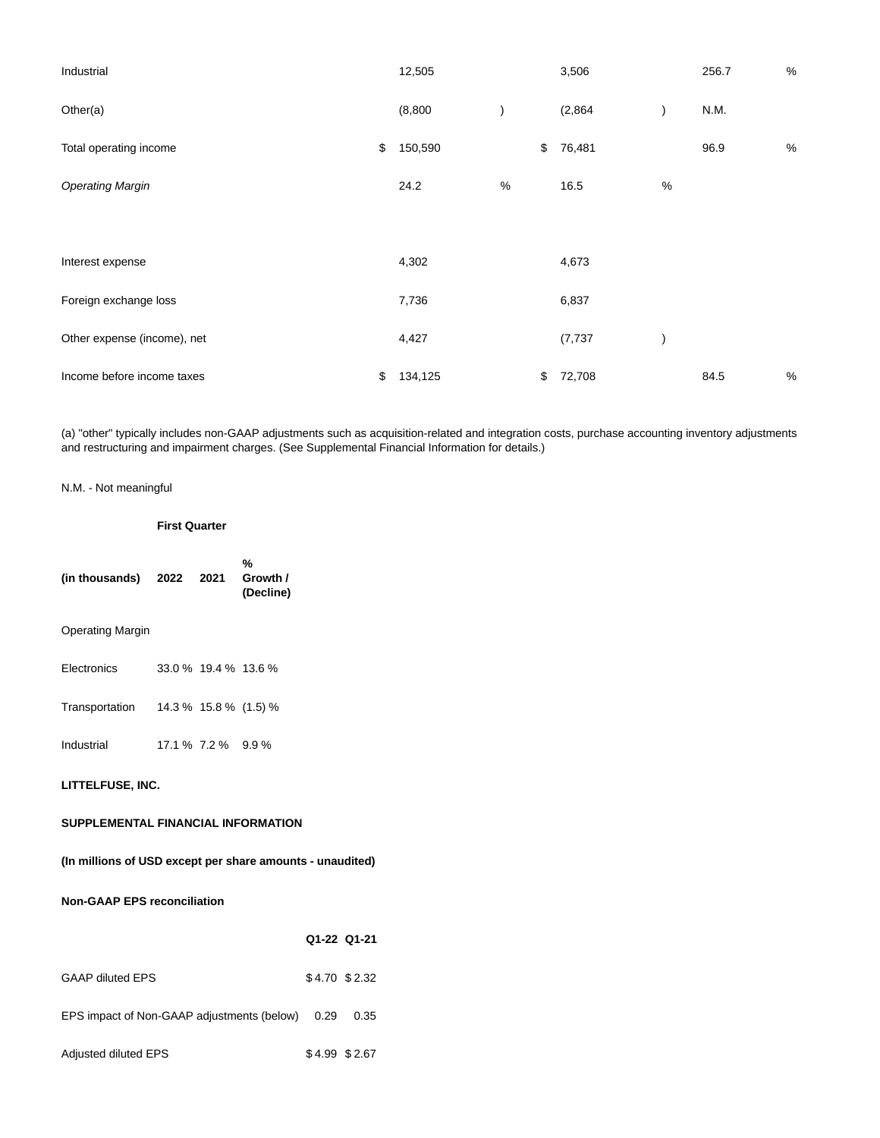| Industrial                  | 12,505        |   |                           | 3,506    |      | 256.7 | $\%$ |
|-----------------------------|---------------|---|---------------------------|----------|------|-------|------|
| Other(a)                    | (8,800)       |   |                           | (2,864)  |      | N.M.  |      |
| Total operating income      | \$<br>150,590 |   | $\boldsymbol{\mathsf{S}}$ | 76,481   |      | 96.9  | $\%$ |
| <b>Operating Margin</b>     | 24.2          | % |                           | 16.5     | $\%$ |       |      |
|                             |               |   |                           |          |      |       |      |
| Interest expense            | 4,302         |   |                           | 4,673    |      |       |      |
| Foreign exchange loss       | 7,736         |   |                           | 6,837    |      |       |      |
| Other expense (income), net | 4,427         |   |                           | (7, 737) |      |       |      |
| Income before income taxes  | \$<br>134,125 |   | \$                        | 72,708   |      | 84.5  | %    |

(a) "other" typically includes non-GAAP adjustments such as acquisition-related and integration costs, purchase accounting inventory adjustments and restructuring and impairment charges. (See Supplemental Financial Information for details.)

# N.M. - Not meaningful

### **First Quarter**

**%**

| (in thousands) 2022 2021 Growth /                         |                    |                      | (Decline) |                |
|-----------------------------------------------------------|--------------------|----------------------|-----------|----------------|
| <b>Operating Margin</b>                                   |                    |                      |           |                |
| Electronics                                               |                    | 33.0 % 19.4 % 13.6 % |           |                |
| Transportation 14.3 % 15.8 % (1.5) %                      |                    |                      |           |                |
| Industrial                                                | 17.1 % 7.2 % 9.9 % |                      |           |                |
| LITTELFUSE, INC.                                          |                    |                      |           |                |
| SUPPLEMENTAL FINANCIAL INFORMATION                        |                    |                      |           |                |
| (In millions of USD except per share amounts - unaudited) |                    |                      |           |                |
| <b>Non-GAAP EPS reconciliation</b>                        |                    |                      |           |                |
|                                                           |                    |                      |           | Q1-22 Q1-21    |
| <b>GAAP diluted EPS</b>                                   |                    |                      |           | \$4.70 \$2.32  |
| EPS impact of Non-GAAP adjustments (below) 0.29 0.35      |                    |                      |           |                |
| Adjusted diluted EPS                                      |                    |                      |           | $$4.99$ \$2.67 |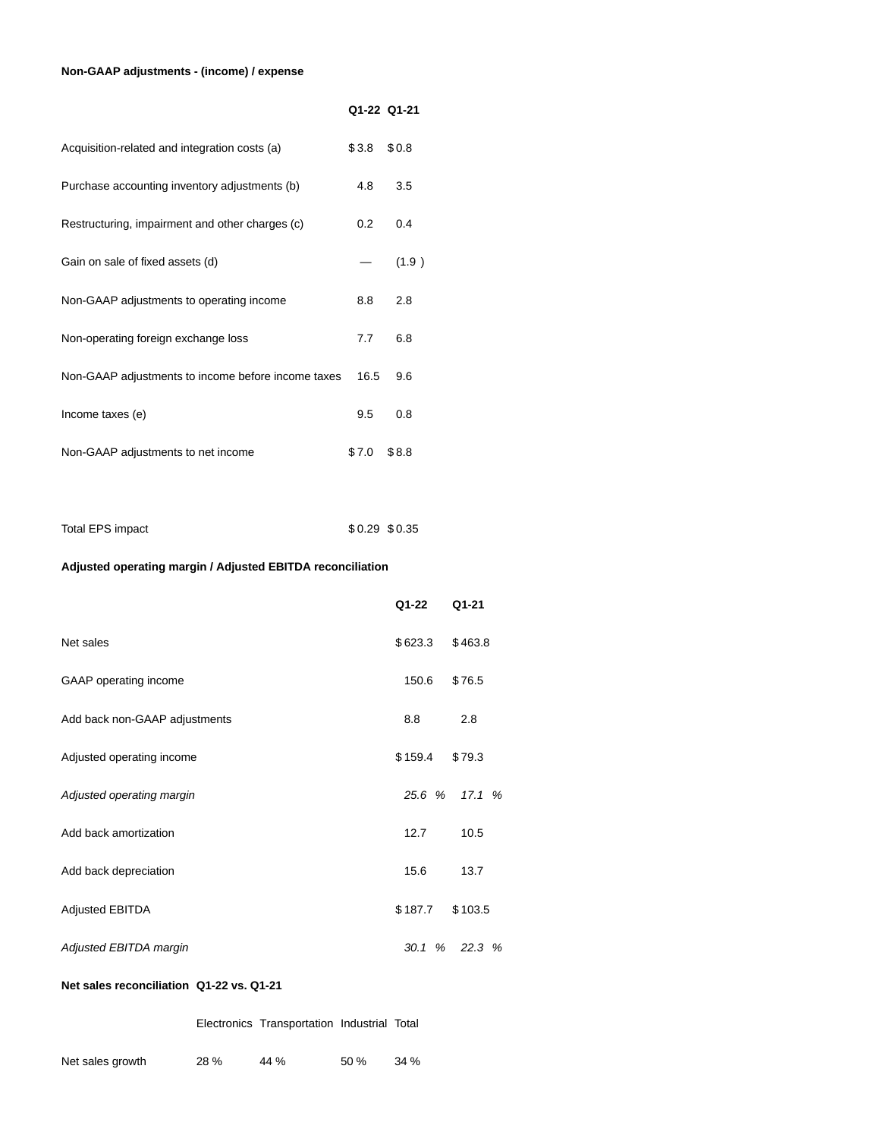# **Non-GAAP adjustments - (income) / expense**

|                                                    | Q1-22 Q1-21 |       |
|----------------------------------------------------|-------------|-------|
| Acquisition-related and integration costs (a)      | \$3.8       | \$0.8 |
| Purchase accounting inventory adjustments (b)      | 4.8         | 3.5   |
| Restructuring, impairment and other charges (c)    | 0.2         | 0.4   |
| Gain on sale of fixed assets (d)                   |             | (1.9) |
| Non-GAAP adjustments to operating income           | 8.8         | 2.8   |
| Non-operating foreign exchange loss                | 7.7         | 6.8   |
| Non-GAAP adjustments to income before income taxes | 16.5        | 9.6   |
| Income taxes (e)                                   | 9.5         | 0.8   |
| Non-GAAP adjustments to net income                 | \$7.0       | \$8.8 |

| Total EPS impact | \$0.29 \$0.35 |  |
|------------------|---------------|--|
|                  |               |  |

# **Adjusted operating margin / Adjusted EBITDA reconciliation**

|                               | Q1-22     | Q1-21   |
|-------------------------------|-----------|---------|
| Net sales                     | \$623.3   | \$463.8 |
| GAAP operating income         | 150.6     | \$76.5  |
| Add back non-GAAP adjustments | 8.8       | 2.8     |
| Adjusted operating income     | \$159.4   | \$79.3  |
| Adjusted operating margin     | 25.6 %    | 17.1%   |
| Add back amortization         | 12.7      | 10.5    |
| Add back depreciation         | 15.6      | 13.7    |
| <b>Adjusted EBITDA</b>        | \$187.7   | \$103.5 |
| Adjusted EBITDA margin        | 30.1<br>% | 22.3%   |

# **Net sales reconciliation Q1-22 vs. Q1-21**

Electronics Transportation Industrial Total

| Net sales growth | 28 % | 44 % | 50% | 34 % |
|------------------|------|------|-----|------|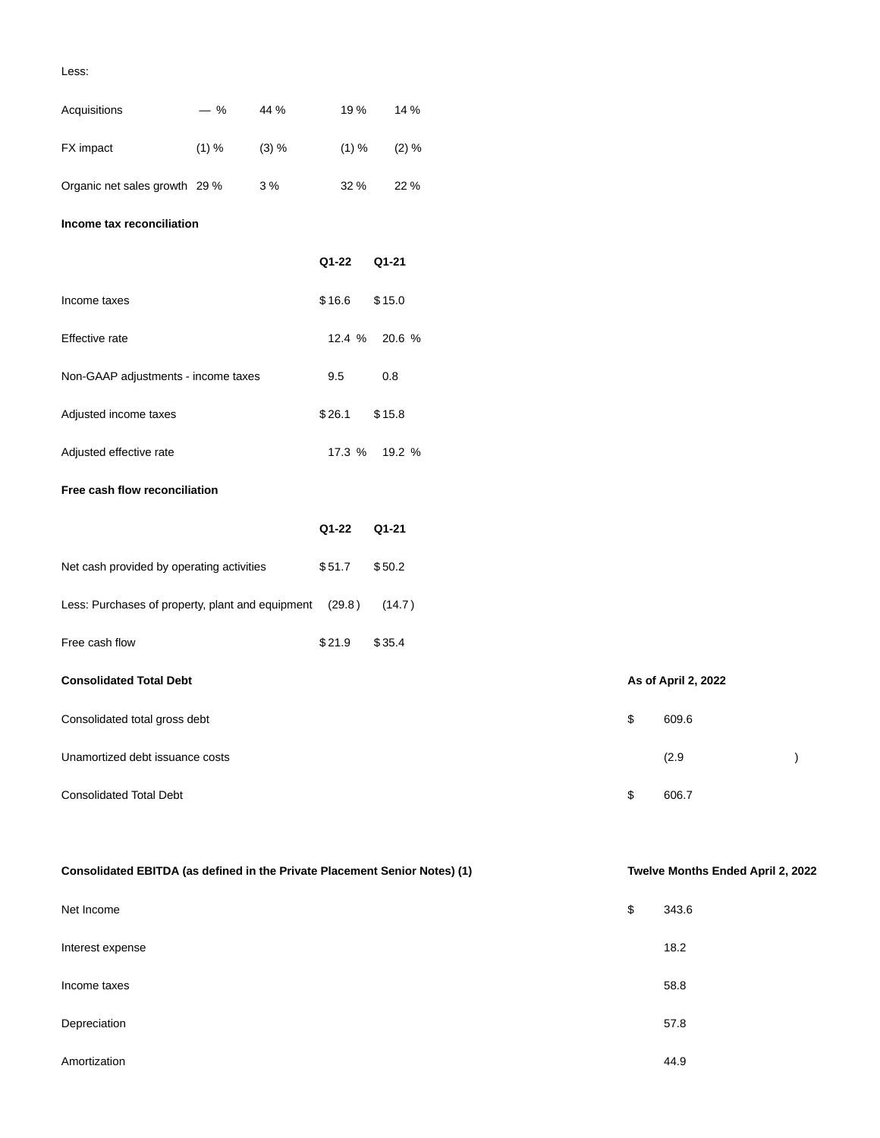## Less:

| Acquisitions                                                               | $-$ % | 44 %  | 19%    | 14 %     |  |    |                                |  |
|----------------------------------------------------------------------------|-------|-------|--------|----------|--|----|--------------------------------|--|
| FX impact                                                                  | (1) % | (3) % | (1) %  | $(2) \%$ |  |    |                                |  |
| Organic net sales growth 29 %                                              |       | 3%    | 32 %   | 22 %     |  |    |                                |  |
| Income tax reconciliation                                                  |       |       |        |          |  |    |                                |  |
|                                                                            |       |       | Q1-22  | Q1-21    |  |    |                                |  |
| Income taxes                                                               |       |       | \$16.6 | \$15.0   |  |    |                                |  |
| Effective rate                                                             |       |       | 12.4 % | 20.6 %   |  |    |                                |  |
| Non-GAAP adjustments - income taxes                                        |       |       | 9.5    | 0.8      |  |    |                                |  |
| Adjusted income taxes                                                      |       |       | \$26.1 | \$15.8   |  |    |                                |  |
| Adjusted effective rate                                                    |       |       | 17.3 % | 19.2 %   |  |    |                                |  |
| Free cash flow reconciliation                                              |       |       |        |          |  |    |                                |  |
|                                                                            |       |       | Q1-22  | Q1-21    |  |    |                                |  |
| Net cash provided by operating activities                                  |       |       | \$51.7 | \$50.2   |  |    |                                |  |
| Less: Purchases of property, plant and equipment                           |       |       | (29.8) | (14.7)   |  |    |                                |  |
| Free cash flow                                                             |       |       | \$21.9 | \$35.4   |  |    |                                |  |
| <b>Consolidated Total Debt</b>                                             |       |       |        |          |  |    | As of April 2, 2022            |  |
| Consolidated total gross debt                                              |       |       |        |          |  | \$ | 609.6                          |  |
| Unamortized debt issuance costs                                            |       |       |        |          |  |    | (2.9)                          |  |
| <b>Consolidated Total Debt</b>                                             |       |       |        |          |  | \$ | 606.7                          |  |
|                                                                            |       |       |        |          |  |    |                                |  |
| Consolidated EBITDA (as defined in the Private Placement Senior Notes) (1) |       |       |        |          |  |    | Twelve Months Ended April 2, 2 |  |
| Net Income                                                                 |       |       |        |          |  | \$ | 343.6                          |  |

| Interest expense | 18.2 |
|------------------|------|
| Income taxes     | 58.8 |
| Depreciation     | 57.8 |
| Amortization     | 44.9 |

**Consolidated EBITDA (as defined in the Private Placement Senior Notes) (1) Twelve Months Ended April 2, 2022**